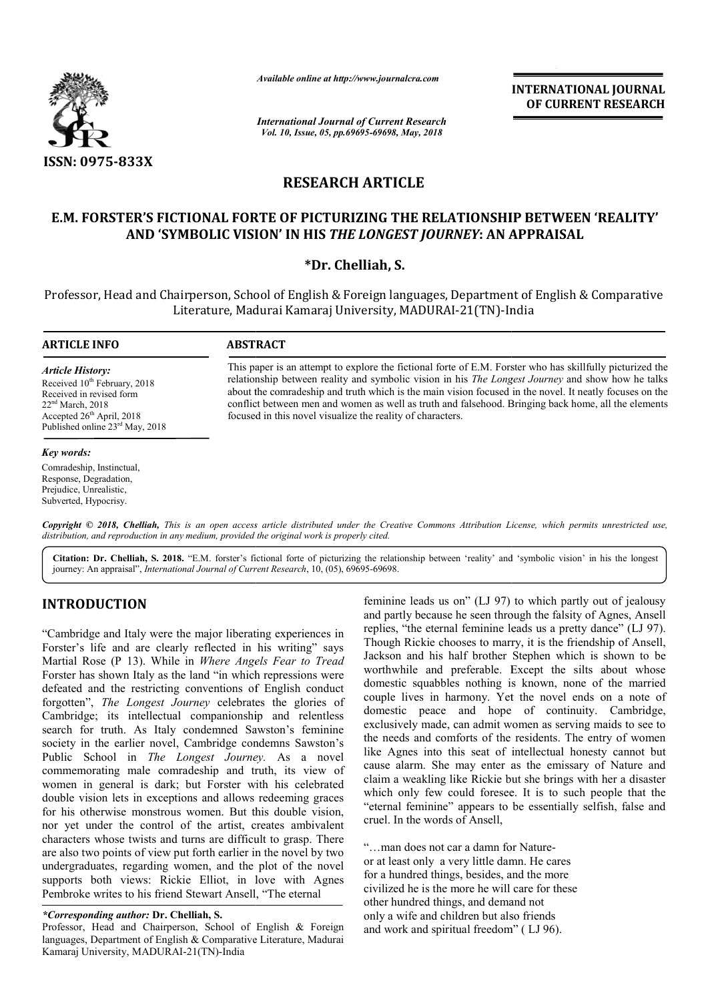

*Available online at http://www.journalcra.com*

*International Journal of Current Research Vol. 10, Issue, 05, pp.69695-69698, May, 2018*

**INTERNATIONAL JOURNAL OF CURRENT RESEARCH**

# **RESEARCH ARTICLE**

## **E.M. FORSTER'S FICTIONAL FORTE OF PICTURIZING THE RELATIONSHIP BETWEEN 'REALITY' E.M. FORSTER'S AND 'SYMBOLIC VISION' IN HIS**  *THE LONGEST JOURNEY***: AN APPRAISAL**

## **\*Dr. Chelliah, S.**

Professor, Head and Chairperson, School of English & Foreign languages, Department of English & Comparative airperson, School of English & Foreign languages, Department of<br>Literature, Madurai Kamaraj University, MADURAI-21(TN)-India

### **ARTICLE INFO ABSTRACT**

*Article History:* Received 10<sup>th</sup> February, 2018 Received in revised form 22nd March, 2018 Accepted  $26<sup>th</sup>$  April, 2018 Published online 23<sup>rd</sup> May, 2018

### *Key words:*

Comradeship, Instinctual, Response, Degradation, Prejudice, Unrealistic, Subverted, Hypocrisy.

This paper is an attempt to explore the fictional forte of E.M. Forster who has skillfully picturized the relationship between reality and symbolic vision in his *The Longest Journey* and show how he talks about the comradeship and truth which is the main vision focused in the novel. It neatly focuses on the conflict between men and women as well as truth and falsehood. Bringing back home, all the elements focused in this novel visualize the reality of characters.

Copyright © 2018, Chelliah, This is an open access article distributed under the Creative Commons Attribution License, which permits unrestricted use, *distribution, and reproduction in any medium, provided the original work is properly cited.*

Citation: Dr. Chelliah, S. 2018. "E.M. forster's fictional forte of picturizing the relationship between 'reality' and 'symbolic vision' in his the longest **Citation: Dr. Chelliah, S. 2018.** "E.M. forster's fictional forte of picturizing the relation-<br>journey: An appraisal", *International Journal of Current Research*, 10, (05), 69695-69698.

## **INTRODUCTION**

"Cambridge and Italy were the major liberating experiences in Forster's life and are clearly reflected in his writing" says Martial Rose (P 13). While in *Where Angels Fear to Tread* Forster has shown Italy as the land "in which repressions were defeated and the restricting conventions of English conduct forgotten", *The Longest Journey* celebrates the glories of Cambridge; its intellectual companionship and relentless search for truth. As Italy condemned Sawston's feminine society in the earlier novel, Cambridge condemns Sawston's Public School in *The Longest Journey.*  commemorating male comradeship and truth, its view of women in general is dark; but Forster with his celebrated double vision lets in exceptions and allows redeeming graces for his otherwise monstrous women. But this double vision, nor yet under the control of the artist, creates ambivalent characters whose twists and turns are difficult to grasp. There are also two points of view put forth earlier in the novel by two undergraduates, regarding women, and the plot of the novel supports both views: Rickie Elliot, in love with Agnes Pembroke writes to his friend Stewart Ansell, "The eternal hip and relentless<br>Sawston's feminine<br>ondemns Sawston's<br>*ney*. As a novel

### *\*Corresponding author:* **Dr. Chelliah, S.**

Professor, Head and Chairperson, School of English & Foreign languages, Department of English & Comparative Literature, Madurai Kamaraj University, MADURAI-21(TN)-India

feminine leads us on" (LJ 97) to which partly out of jealousy and partly because he seen through the falsity of Agnes, Ansell replies, "the eternal feminine leads us a pretty dance" (LJ 97). Though Rickie chooses to marry, it is the friendship of Ansell, replies, "the eternal feminine leads us a pretty dance" (LJ 97).<br>Though Rickie chooses to marry, it is the friendship of Ansell,<br>Jackson and his half brother Stephen which is shown to be worthwhile and preferable. Except the silts about whose domestic squabbles nothing is known, none of the married couple lives in harmony. Yet the novel ends on a note of domestic peace and hope of continuity. Cambridge, exclusively made, can admit women as serving maids to see to the needs and comforts of the residents. The entry of women like Agnes into this seat of intellectual honesty cannot but cause alarm. She may enter as the emissary of Nature and claim a weakling like Rickie but she brings with her a disaster which only few could foresee. It is to such people that the "eternal feminine" appears to be essentially selfish, false and cruel. In the words of Ansell, ile and preferable. Except the silts about whose<br>
i squabbles nothing is known, none of the married<br>
ives in harmony. Yet the novel ends on a note of<br>
i peace and hope of continuity. Cambridge,<br>
ely made, can admit women a

"…man does not car a damn for Nature or at least only a very little damn. He cares or at least only a very little damn. He cares<br>for a hundred things, besides, and the more civilized he is the more he will care for these other hundred things, and demand not only a wife and children but also friends and work and spiritual freedom" ( LJ 96).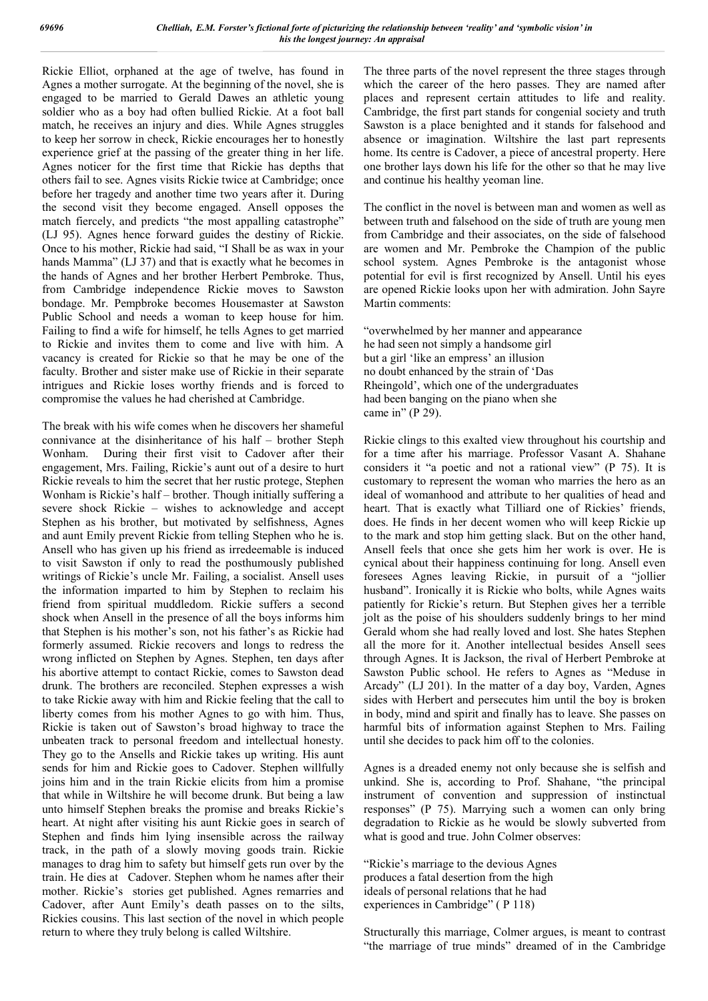Rickie Elliot, orphaned at the age of twelve, has found in Agnes a mother surrogate. At the beginning of the novel, she is engaged to be married to Gerald Dawes an athletic young soldier who as a boy had often bullied Rickie. At a foot ball match, he receives an injury and dies. While Agnes struggles to keep her sorrow in check, Rickie encourages her to honestly experience grief at the passing of the greater thing in her life. Agnes noticer for the first time that Rickie has depths that others fail to see. Agnes visits Rickie twice at Cambridge; once before her tragedy and another time two years after it. During the second visit they become engaged. Ansell opposes the match fiercely, and predicts "the most appalling catastrophe" (LJ 95). Agnes hence forward guides the destiny of Rickie. Once to his mother, Rickie had said, "I Shall be as wax in your hands Mamma" (LJ 37) and that is exactly what he becomes in the hands of Agnes and her brother Herbert Pembroke. Thus, from Cambridge independence Rickie moves to Sawston bondage. Mr. Pempbroke becomes Housemaster at Sawston Public School and needs a woman to keep house for him. Failing to find a wife for himself, he tells Agnes to get married to Rickie and invites them to come and live with him. A vacancy is created for Rickie so that he may be one of the faculty. Brother and sister make use of Rickie in their separate intrigues and Rickie loses worthy friends and is forced to compromise the values he had cherished at Cambridge.

The break with his wife comes when he discovers her shameful connivance at the disinheritance of his half – brother Steph Wonham. During their first visit to Cadover after their engagement, Mrs. Failing, Rickie's aunt out of a desire to hurt Rickie reveals to him the secret that her rustic protege, Stephen Wonham is Rickie's half – brother. Though initially suffering a severe shock Rickie – wishes to acknowledge and accept Stephen as his brother, but motivated by selfishness, Agnes and aunt Emily prevent Rickie from telling Stephen who he is. Ansell who has given up his friend as irredeemable is induced to visit Sawston if only to read the posthumously published writings of Rickie's uncle Mr. Failing, a socialist. Ansell uses the information imparted to him by Stephen to reclaim his friend from spiritual muddledom. Rickie suffers a second shock when Ansell in the presence of all the boys informs him that Stephen is his mother's son, not his father's as Rickie had formerly assumed. Rickie recovers and longs to redress the wrong inflicted on Stephen by Agnes. Stephen, ten days after his abortive attempt to contact Rickie, comes to Sawston dead drunk. The brothers are reconciled. Stephen expresses a wish to take Rickie away with him and Rickie feeling that the call to liberty comes from his mother Agnes to go with him. Thus, Rickie is taken out of Sawston's broad highway to trace the unbeaten track to personal freedom and intellectual honesty. They go to the Ansells and Rickie takes up writing. His aunt sends for him and Rickie goes to Cadover. Stephen willfully joins him and in the train Rickie elicits from him a promise that while in Wiltshire he will become drunk. But being a law unto himself Stephen breaks the promise and breaks Rickie's heart. At night after visiting his aunt Rickie goes in search of Stephen and finds him lying insensible across the railway track, in the path of a slowly moving goods train. Rickie manages to drag him to safety but himself gets run over by the train. He dies at Cadover. Stephen whom he names after their mother. Rickie's stories get published. Agnes remarries and Cadover, after Aunt Emily's death passes on to the silts, Rickies cousins. This last section of the novel in which people return to where they truly belong is called Wiltshire.

The three parts of the novel represent the three stages through which the career of the hero passes. They are named after places and represent certain attitudes to life and reality. Cambridge, the first part stands for congenial society and truth Sawston is a place benighted and it stands for falsehood and absence or imagination. Wiltshire the last part represents home. Its centre is Cadover, a piece of ancestral property. Here one brother lays down his life for the other so that he may live and continue his healthy yeoman line.

The conflict in the novel is between man and women as well as between truth and falsehood on the side of truth are young men from Cambridge and their associates, on the side of falsehood are women and Mr. Pembroke the Champion of the public school system. Agnes Pembroke is the antagonist whose potential for evil is first recognized by Ansell. Until his eyes are opened Rickie looks upon her with admiration. John Sayre Martin comments:

"overwhelmed by her manner and appearance he had seen not simply a handsome girl but a girl 'like an empress' an illusion no doubt enhanced by the strain of 'Das Rheingold', which one of the undergraduates had been banging on the piano when she came in" (P 29).

Rickie clings to this exalted view throughout his courtship and for a time after his marriage. Professor Vasant A. Shahane considers it "a poetic and not a rational view" (P 75). It is customary to represent the woman who marries the hero as an ideal of womanhood and attribute to her qualities of head and heart. That is exactly what Tilliard one of Rickies' friends, does. He finds in her decent women who will keep Rickie up to the mark and stop him getting slack. But on the other hand, Ansell feels that once she gets him her work is over. He is cynical about their happiness continuing for long. Ansell even foresees Agnes leaving Rickie, in pursuit of a "jollier husband". Ironically it is Rickie who bolts, while Agnes waits patiently for Rickie's return. But Stephen gives her a terrible jolt as the poise of his shoulders suddenly brings to her mind Gerald whom she had really loved and lost. She hates Stephen all the more for it. Another intellectual besides Ansell sees through Agnes. It is Jackson, the rival of Herbert Pembroke at Sawston Public school. He refers to Agnes as "Meduse in Arcady" (LJ 201). In the matter of a day boy, Varden, Agnes sides with Herbert and persecutes him until the boy is broken in body, mind and spirit and finally has to leave. She passes on harmful bits of information against Stephen to Mrs. Failing until she decides to pack him off to the colonies.

Agnes is a dreaded enemy not only because she is selfish and unkind. She is, according to Prof. Shahane, "the principal instrument of convention and suppression of instinctual responses" (P 75). Marrying such a women can only bring degradation to Rickie as he would be slowly subverted from what is good and true. John Colmer observes:

"Rickie's marriage to the devious Agnes produces a fatal desertion from the high ideals of personal relations that he had experiences in Cambridge" ( P 118)

Structurally this marriage, Colmer argues, is meant to contrast "the marriage of true minds" dreamed of in the Cambridge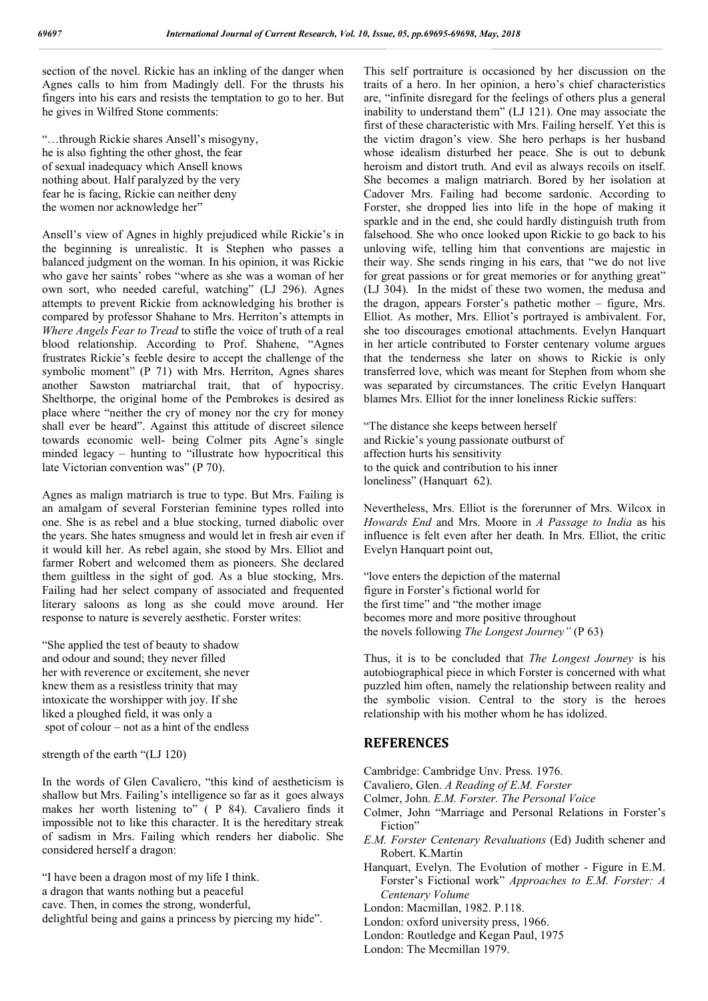section of the novel. Rickie has an inkling of the danger when Agnes calls to him from Madingly dell. For the thrusts his fingers into his ears and resists the temptation to go to her. But he gives in Wilfred Stone comments:

"…through Rickie shares Ansell's misogyny, he is also fighting the other ghost, the fear of sexual inadequacy which Ansell knows nothing about. Half paralyzed by the very fear he is facing, Rickie can neither deny the women nor acknowledge her"

Ansell's view of Agnes in highly prejudiced while Rickie's in the beginning is unrealistic. It is Stephen who passes a balanced judgment on the woman. In his opinion, it was Rickie who gave her saints' robes "where as she was a woman of her own sort, who needed careful, watching" (LJ 296). Agnes attempts to prevent Rickie from acknowledging his brother is compared by professor Shahane to Mrs. Herriton's attempts in *Where Angels Fear to Tread* to stifle the voice of truth of a real blood relationship. According to Prof. Shahene, "Agnes frustrates Rickie's feeble desire to accept the challenge of the symbolic moment" (P 71) with Mrs. Herriton, Agnes shares another Sawston matriarchal trait, that of hypocrisy. Shelthorpe, the original home of the Pembrokes is desired as place where "neither the cry of money nor the cry for money shall ever be heard". Against this attitude of discreet silence towards economic well- being Colmer pits Agne's single minded legacy – hunting to "illustrate how hypocritical this late Victorian convention was" (P 70).

Agnes as malign matriarch is true to type. But Mrs. Failing is an amalgam of several Forsterian feminine types rolled into one. She is as rebel and a blue stocking, turned diabolic over the years. She hates smugness and would let in fresh air even if it would kill her. As rebel again, she stood by Mrs. Elliot and farmer Robert and welcomed them as pioneers. She declared them guiltless in the sight of god. As a blue stocking, Mrs. Failing had her select company of associated and frequented literary saloons as long as she could move around. Her response to nature is severely aesthetic. Forster writes:

"She applied the test of beauty to shadow and odour and sound; they never filled her with reverence or excitement, she never knew them as a resistless trinity that may intoxicate the worshipper with joy. If she liked a ploughed field, it was only a spot of colour – not as a hint of the endless

strength of the earth "(LJ 120)

In the words of Glen Cavaliero, "this kind of aestheticism is shallow but Mrs. Failing's intelligence so far as it goes always makes her worth listening to" ( P 84). Cavaliero finds it impossible not to like this character. It is the hereditary streak of sadism in Mrs. Failing which renders her diabolic. She considered herself a dragon:

"I have been a dragon most of my life I think. a dragon that wants nothing but a peaceful cave. Then, in comes the strong, wonderful, delightful being and gains a princess by piercing my hide".

This self portraiture is occasioned by her discussion on the traits of a hero. In her opinion, a hero's chief characteristics are, "infinite disregard for the feelings of others plus a general inability to understand them" (LJ 121). One may associate the first of these characteristic with Mrs. Failing herself. Yet this is the victim dragon's view. She hero perhaps is her husband whose idealism disturbed her peace. She is out to debunk heroism and distort truth. And evil as always recoils on itself. She becomes a malign matriarch. Bored by her isolation at Cadover Mrs. Failing had become sardonic. According to Forster, she dropped lies into life in the hope of making it sparkle and in the end, she could hardly distinguish truth from falsehood. She who once looked upon Rickie to go back to his unloving wife, telling him that conventions are majestic in their way. She sends ringing in his ears, that "we do not live for great passions or for great memories or for anything great" (LJ 304). In the midst of these two women, the medusa and the dragon, appears Forster's pathetic mother – figure, Mrs. Elliot. As mother, Mrs. Elliot's portrayed is ambivalent. For, she too discourages emotional attachments. Evelyn Hanquart in her article contributed to Forster centenary volume argues that the tenderness she later on shows to Rickie is only transferred love, which was meant for Stephen from whom she was separated by circumstances. The critic Evelyn Hanquart blames Mrs. Elliot for the inner loneliness Rickie suffers:

"The distance she keeps between herself and Rickie's young passionate outburst of affection hurts his sensitivity to the quick and contribution to his inner loneliness" (Hanquart 62).

Nevertheless, Mrs. Elliot is the forerunner of Mrs. Wilcox in *Howards End* and Mrs. Moore in *A Passage to India* as his influence is felt even after her death. In Mrs. Elliot, the critic Evelyn Hanquart point out,

"love enters the depiction of the maternal figure in Forster's fictional world for the first time" and "the mother image becomes more and more positive throughout the novels following *The Longest Journey"* (P 63)

Thus, it is to be concluded that *The Longest Journey* is his autobiographical piece in which Forster is concerned with what puzzled him often, namely the relationship between reality and the symbolic vision. Central to the story is the heroes relationship with his mother whom he has idolized.

## **REFERENCES**

- Cambridge: Cambridge Unv. Press. 1976.
- Cavaliero, Glen. *A Reading of E.M. Forster*
- Colmer, John. *E.M. Forster. The Personal Voice*
- Colmer, John "Marriage and Personal Relations in Forster's Fiction"
- *E.M. Forster Centenary Revaluations* (Ed) Judith schener and Robert. K.Martin
- Hanquart, Evelyn. The Evolution of mother Figure in E.M. Forster's Fictional work" *Approaches to E.M. Forster: A Centenary Volume*
- London: Macmillan, 1982. P.118.
- London: oxford university press, 1966.
- London: Routledge and Kegan Paul, 1975
- London: The Mecmillan 1979.